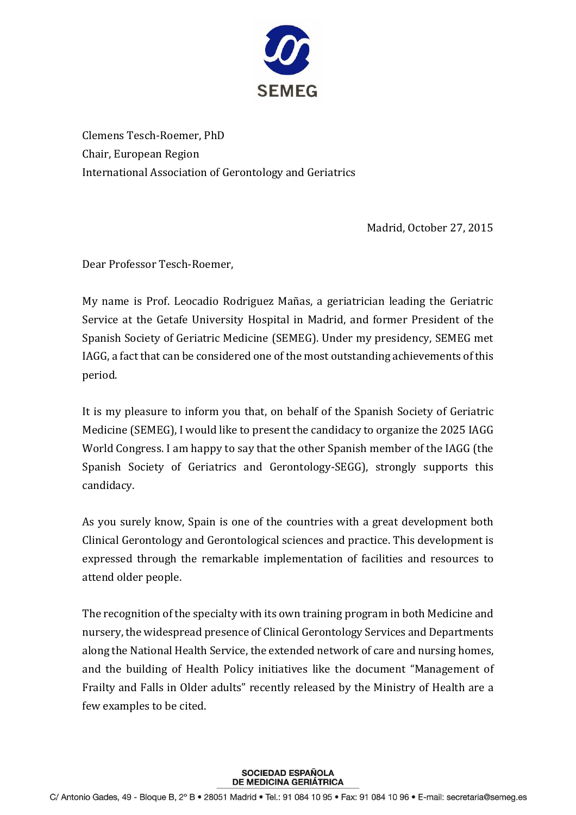

Clemens Tesch-Roemer, PhD Chair, European Region International Association of Gerontology and Geriatrics

Madrid, October 27, 2015

Dear Professor Tesch-Roemer,

My name is Prof. Leocadio Rodriguez Mañas, a geriatrician leading the Geriatric Service at the Getafe University Hospital in Madrid, and former President of the Spanish Society of Geriatric Medicine (SEMEG). Under my presidency, SEMEG met IAGG, a fact that can be considered one of the most outstanding achievements of this period.

It is my pleasure to inform you that, on behalf of the Spanish Society of Geriatric Medicine (SEMEG), I would like to present the candidacy to organize the 2025 IAGG World Congress. I am happy to say that the other Spanish member of the IAGG (the Spanish Society of Geriatrics and Gerontology-SEGG), strongly supports this candidacy.

As you surely know, Spain is one of the countries with a great development both Clinical Gerontology and Gerontological sciences and practice. This development is expressed through the remarkable implementation of facilities and resources to attend older people.

The recognition of the specialty with its own training program in both Medicine and nursery, the widespread presence of Clinical Gerontology Services and Departments along the National Health Service, the extended network of care and nursing homes, and the building of Health Policy initiatives like the document "Management of Frailty and Falls in Older adults" recently released by the Ministry of Health are a few examples to be cited.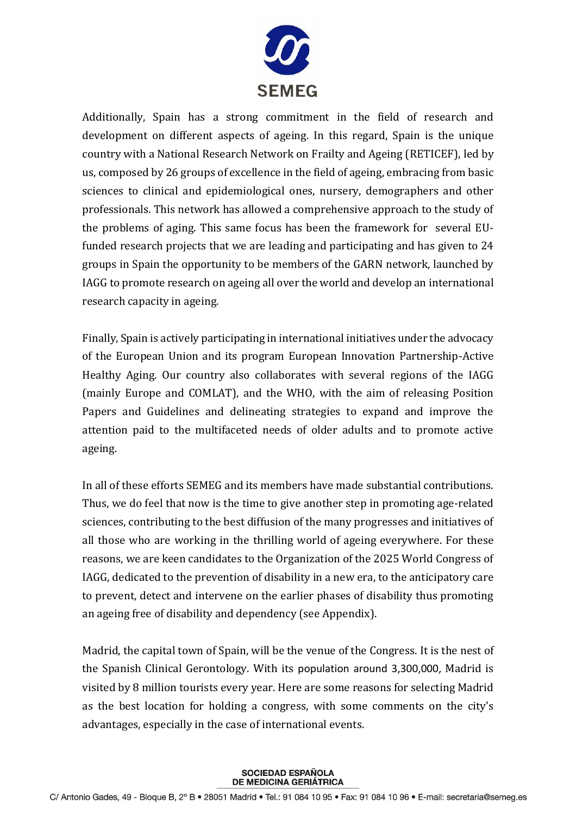

Additionally, Spain has a strong commitment in the field of research and development on different aspects of ageing. In this regard, Spain is the unique country with a National Research Network on Frailty and Ageing (RETICEF), led by us, composed by 26 groups of excellence in the field of ageing, embracing from basic sciences to clinical and epidemiological ones, nursery, demographers and other professionals. This network has allowed a comprehensive approach to the study of the problems of aging. This same focus has been the framework for several EUfunded research projects that we are leading and participating and has given to 24 groups in Spain the opportunity to be members of the GARN network, launched by IAGG to promote research on ageing all over the world and develop an international research capacity in ageing.

Finally, Spain is actively participating in international initiatives under the advocacy of the European Union and its program European Innovation Partnership-Active Healthy Aging. Our country also collaborates with several regions of the IAGG (mainly Europe and COMLAT), and the WHO, with the aim of releasing Position Papers and Guidelines and delineating strategies to expand and improve the attention paid to the multifaceted needs of older adults and to promote active ageing.

In all of these efforts SEMEG and its members have made substantial contributions. Thus, we do feel that now is the time to give another step in promoting age-related sciences, contributing to the best diffusion of the many progresses and initiatives of all those who are working in the thrilling world of ageing everywhere. For these reasons, we are keen candidates to the Organization of the 2025 World Congress of IAGG, dedicated to the prevention of disability in a new era, to the anticipatory care to prevent, detect and intervene on the earlier phases of disability thus promoting an ageing free of disability and dependency (see Appendix).

Madrid, the capital town of Spain, will be the venue of the Congress. It is the nest of the Spanish Clinical Gerontology. With its population around 3,300,000, Madrid is visited by 8 million tourists every year. Here are some reasons for selecting Madrid as the best location for holding a congress, with some comments on the city's advantages, especially in the case of international events.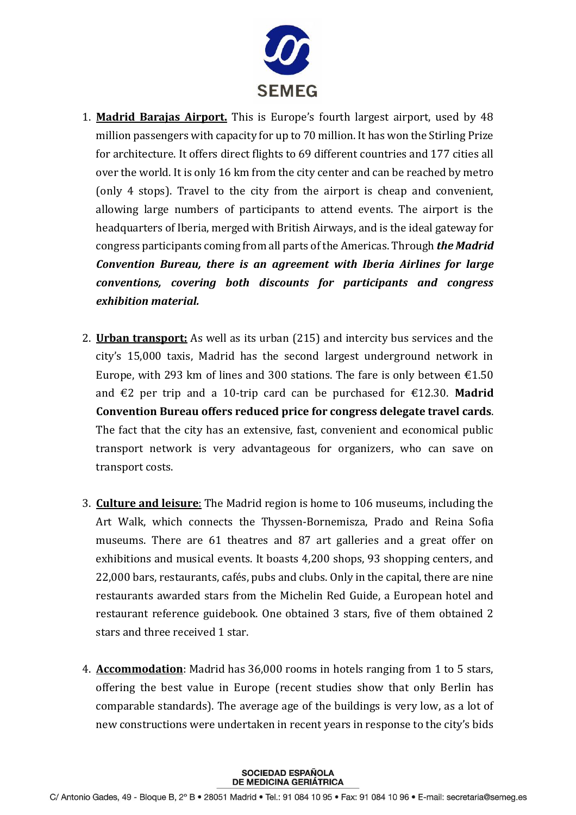

- 1. **Madrid Barajas Airport.** This is Europe's fourth largest airport, used by 48 million passengers with capacity for up to 70 million. It has won the Stirling Prize for architecture. It offers direct flights to 69 different countries and 177 cities all over the world. It is only 16 km from the city center and can be reached by metro (only 4 stops). Travel to the city from the airport is cheap and convenient, allowing large numbers of participants to attend events. The airport is the headquarters of Iberia, merged with British Airways, and is the ideal gateway for congress participants coming from all parts of the Americas. Through *the Madrid Convention Bureau, there is an agreement with Iberia Airlines for large conventions, covering both discounts for participants and congress exhibition material.*
- 2. **Urban transport:** As well as its urban (215) and intercity bus services and the city's 15,000 taxis, Madrid has the second largest underground network in Europe, with 293 km of lines and 300 stations. The fare is only between  $\epsilon$ 1.50 and €2 per trip and a 10-trip card can be purchased for €12.30. **Madrid Convention Bureau offers reduced price for congress delegate travel cards**. The fact that the city has an extensive, fast, convenient and economical public transport network is very advantageous for organizers, who can save on transport costs.
- 3. **Culture and leisure**: The Madrid region is home to 106 museums, including the Art Walk, which connects the Thyssen-Bornemisza, Prado and Reina Sofia museums. There are 61 theatres and 87 art galleries and a great offer on exhibitions and musical events. It boasts 4,200 shops, 93 shopping centers, and 22,000 bars, restaurants, cafés, pubs and clubs. Only in the capital, there are nine restaurants awarded stars from the Michelin Red Guide, a European hotel and restaurant reference guidebook. One obtained 3 stars, five of them obtained 2 stars and three received 1 star.
- 4. **Accommodation**: Madrid has 36,000 rooms in hotels ranging from 1 to 5 stars, offering the best value in Europe (recent studies show that only Berlin has comparable standards). The average age of the buildings is very low, as a lot of new constructions were undertaken in recent years in response to the city's bids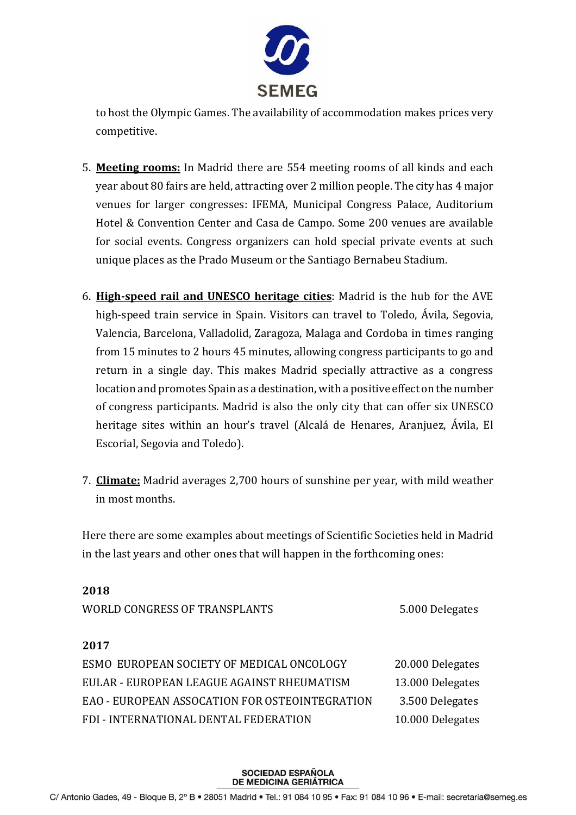

to host the Olympic Games. The availability of accommodation makes prices very competitive.

- 5. **Meeting rooms:** In Madrid there are 554 meeting rooms of all kinds and each year about 80 fairs are held, attracting over 2 million people. The city has 4 major venues for larger congresses: IFEMA, Municipal Congress Palace, Auditorium Hotel & Convention Center and Casa de Campo. Some 200 venues are available for social events. Congress organizers can hold special private events at such unique places as the Prado Museum or the Santiago Bernabeu Stadium.
- 6. **High-speed rail and UNESCO heritage cities**: Madrid is the hub for the AVE high-speed train service in Spain. Visitors can travel to Toledo, Ávila, Segovia, Valencia, Barcelona, Valladolid, Zaragoza, Malaga and Cordoba in times ranging from 15 minutes to 2 hours 45 minutes, allowing congress participants to go and return in a single day. This makes Madrid specially attractive as a congress location and promotes Spain as a destination, with a positive effect on the number of congress participants. Madrid is also the only city that can offer six UNESCO heritage sites within an hour's travel (Alcalá de Henares, Aranjuez, Ávila, El Escorial, Segovia and Toledo).
- 7. **Climate:** Madrid averages 2,700 hours of sunshine per year, with mild weather in most months.

Here there are some examples about meetings of Scientific Societies held in Madrid in the last years and other ones that will happen in the forthcoming ones:

| 40 L V                                         |                  |
|------------------------------------------------|------------------|
| WORLD CONGRESS OF TRANSPLANTS                  | 5.000 Delegates  |
| 2017                                           |                  |
| ESMO EUROPEAN SOCIETY OF MEDICAL ONCOLOGY      | 20.000 Delegates |
| EULAR - EUROPEAN LEAGUE AGAINST RHEUMATISM     | 13.000 Delegates |
| EAO - EUROPEAN ASSOCATION FOR OSTEOINTEGRATION | 3.500 Delegates  |
| FDI - INTERNATIONAL DENTAL FEDERATION          | 10.000 Delegates |
|                                                |                  |

**2018**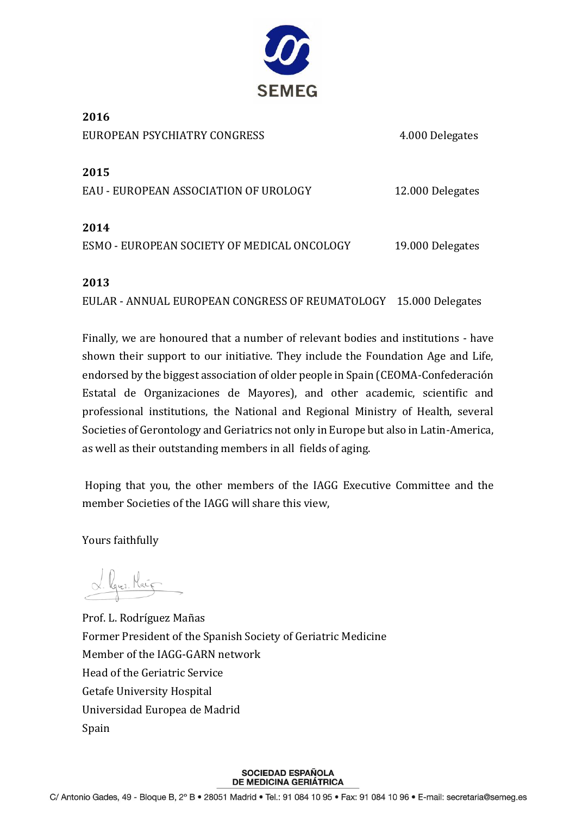

**2016** EUROPEAN PSYCHIATRY CONGRESS 4.000 Delegates

**2015**

EAU - EUROPEAN ASSOCIATION OF UROLOGY 12.000 Delegates

## **2014**

ESMO - EUROPEAN SOCIETY OF MEDICAL ONCOLOGY 19.000 Delegates

## **2013**

EULAR - ANNUAL EUROPEAN CONGRESS OF REUMATOLOGY 15.000 Delegates

Finally, we are honoured that a number of relevant bodies and institutions - have shown their support to our initiative. They include the Foundation Age and Life, endorsed by the biggest association of older people in Spain (CEOMA-Confederación Estatal de Organizaciones de Mayores), and other academic, scientific and professional institutions, the National and Regional Ministry of Health, several Societies of Gerontology and Geriatrics not only in Europe but also in Latin-America, as well as their outstanding members in all fields of aging.

Hoping that you, the other members of the IAGG Executive Committee and the member Societies of the IAGG will share this view,

Yours faithfully

L. Lquez. Maig

Prof. L. Rodríguez Mañas Former President of the Spanish Society of Geriatric Medicine Member of the IAGG-GARN network Head of the Geriatric Service Getafe University Hospital Universidad Europea de Madrid Spain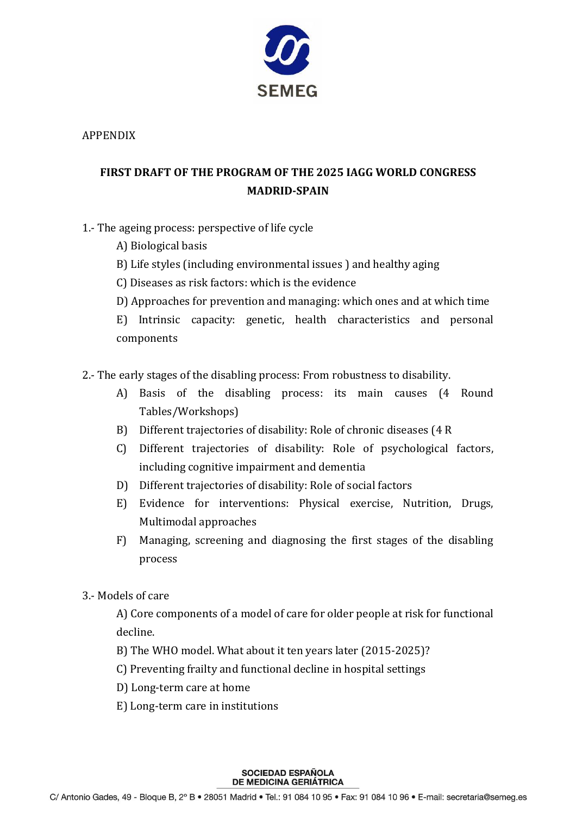

APPENDIX

# **FIRST DRAFT OF THE PROGRAM OF THE 2025 IAGG WORLD CONGRESS MADRID-SPAIN**

- 1.- The ageing process: perspective of life cycle
	- A) Biological basis
	- B) Life styles (including environmental issues ) and healthy aging
	- C) Diseases as risk factors: which is the evidence
	- D) Approaches for prevention and managing: which ones and at which time

E) Intrinsic capacity: genetic, health characteristics and personal components

- 2.- The early stages of the disabling process: From robustness to disability.
	- A) Basis of the disabling process: its main causes (4 Round Tables/Workshops)
	- B) Different trajectories of disability: Role of chronic diseases (4 R
	- C) Different trajectories of disability: Role of psychological factors, including cognitive impairment and dementia
	- D) Different trajectories of disability: Role of social factors
	- E) Evidence for interventions: Physical exercise, Nutrition, Drugs, Multimodal approaches
	- F) Managing, screening and diagnosing the first stages of the disabling process
- 3.- Models of care

A) Core components of a model of care for older people at risk for functional decline.

- B) The WHO model. What about it ten years later (2015-2025)?
- C) Preventing frailty and functional decline in hospital settings
- D) Long-term care at home
- E) Long-term care in institutions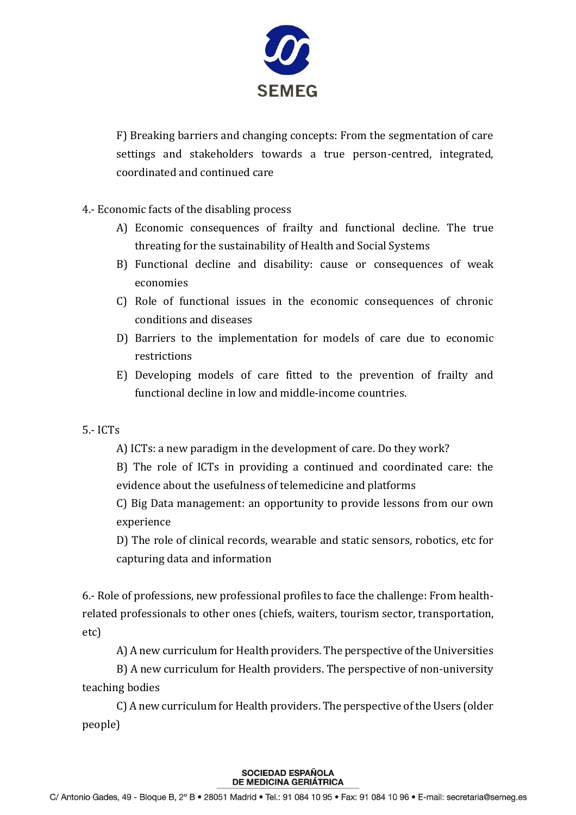

F) Breaking barriers and changing concepts: From the segmentation of care settings and stakeholders towards a true person-centred, integrated, coordinated and continued care

4.- Economic facts of the disabling process

- A) Economic consequences of frailty and functional decline. The true threating for the sustainability of Health and Social Systems
- B) Functional decline and disability: cause or consequences of weak economies
- C) Role of functional issues in the economic consequences of chronic conditions and diseases
- D) Barriers to the implementation for models of care due to economic restrictions
- E) Developing models of care fitted to the prevention of frailty and functional decline in low and middle-income countries.
- 5.- ICTs
	- A) ICTs: a new paradigm in the development of care. Do they work?

B) The role of ICTs in providing a continued and coordinated care: the evidence about the usefulness of telemedicine and platforms

C) Big Data management: an opportunity to provide lessons from our own experience

D) The role of clinical records, wearable and static sensors, robotics, etc for capturing data and information

6.- Role of professions, new professional profiles to face the challenge: From healthrelated professionals to other ones (chiefs, waiters, tourism sector, transportation, etc)

A) A new curriculum for Health providers. The perspective of the Universities

B) A new curriculum for Health providers. The perspective of non-university teaching bodies

C) A new curriculum for Health providers. The perspective of the Users (older people)